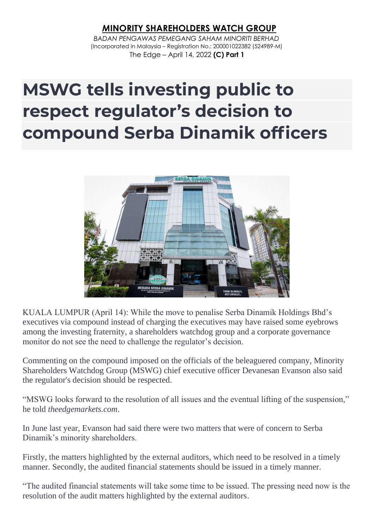## *M***INORITY SHAREHOLDERS WATCH GROUP**

*BADAN PENGAWAS PEMEGANG SAHAM MINORITI BERHAD* (Incorporated in Malaysia – Registration No.: 200001022382 (524989-M) The Edge – April 14, 2022 **(C) Part 1**

## **MSWG tells investing public to respect regulator's decision to compound Serba Dinamik officers**



KUALA LUMPUR (April 14): While the move to penalise Serba Dinamik Holdings Bhd's executives via compound instead of charging the executives may have raised some eyebrows among the investing fraternity, a shareholders watchdog group and a corporate governance monitor do not see the need to challenge the regulator's decision.

Commenting on the compound imposed on the officials of the beleaguered company, Minority Shareholders Watchdog Group (MSWG) chief executive officer Devanesan Evanson also said the regulator's decision should be respected.

"MSWG looks forward to the resolution of all issues and the eventual lifting of the suspension," he told *theedgemarkets.com*.

In June last year, Evanson had said there were two matters that were of concern to Serba Dinamik's minority shareholders.

Firstly, the matters highlighted by the external auditors, which need to be resolved in a timely manner. Secondly, the audited financial statements should be issued in a timely manner.

"The audited financial statements will take some time to be issued. The pressing need now is the resolution of the audit matters highlighted by the external auditors.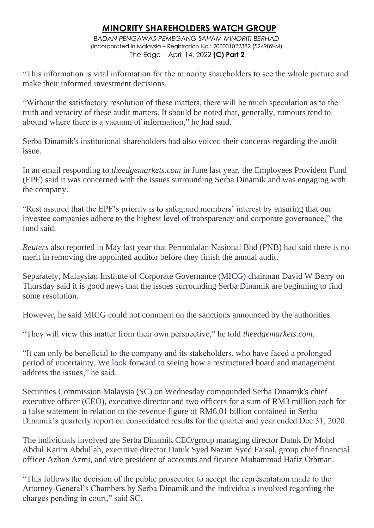## *M***INORITY SHAREHOLDERS WATCH GROUP**

*BADAN PENGAWAS PEMEGANG SAHAM MINORITI BERHAD* (Incorporated in Malaysia – Registration No.: 200001022382 (524989-M) The Edge – April 14, 2022 **(C) Part 2**

"This information is vital information for the minority shareholders to see the whole picture and make their informed investment decisions.

"Without the satisfactory resolution of these matters, there will be much speculation as to the truth and veracity of these audit matters. It should be noted that, generally, rumours tend to abound where there is a vacuum of information," he had said.

Serba Dinamik's institutional shareholders had also voiced their concerns regarding the audit issue.

In an email responding to *theedgemarkets.com* in June last year, the Employees Provident Fund (EPF) said it was concerned with the issues surrounding Serba Dinamik and was engaging with the company.

"Rest assured that the EPF's priority is to safeguard members' interest by ensuring that our investee companies adhere to the highest level of transparency and corporate governance," the fund said.

*Reuters* also reported in May last year that Permodalan Nasional Bhd (PNB) had said there is no merit in removing the appointed auditor before they finish the annual audit.

Separately, Malaysian Institute of Corporate Governance (MICG) chairman David W Berry on Thursday said it is good news that the issues surrounding Serba Dinamik are beginning to find some resolution.

However, he said MICG could not comment on the sanctions announced by the authorities.

"They will view this matter from their own perspective," he told *theedgemarkets.com*.

"It can only be beneficial to the company and its stakeholders, who have faced a prolonged period of uncertainty. We look forward to seeing how a restructured board and management address the issues," he said.

Securities Commission Malaysia (SC) on Wednesday compounded Serba Dinamik's chief executive officer (CEO), executive director and two officers for a sum of RM3 million each for a false statement in relation to the revenue figure of RM6.01 billion contained in Serba Dinamik's quarterly report on consolidated results for the quarter and year ended Dec 31, 2020.

The individuals involved are Serba Dinamik CEO/group managing director Datuk Dr Mohd Abdul Karim Abdullah, executive director Datuk Syed Nazim Syed Faisal, group chief financial officer Azhan Azmi, and vice president of accounts and finance Muhammad Hafiz Othman.

"This follows the decision of the public prosecutor to accept the representation made to the Attorney-General's Chambers by Serba Dinamik and the individuals involved regarding the charges pending in court," said SC.